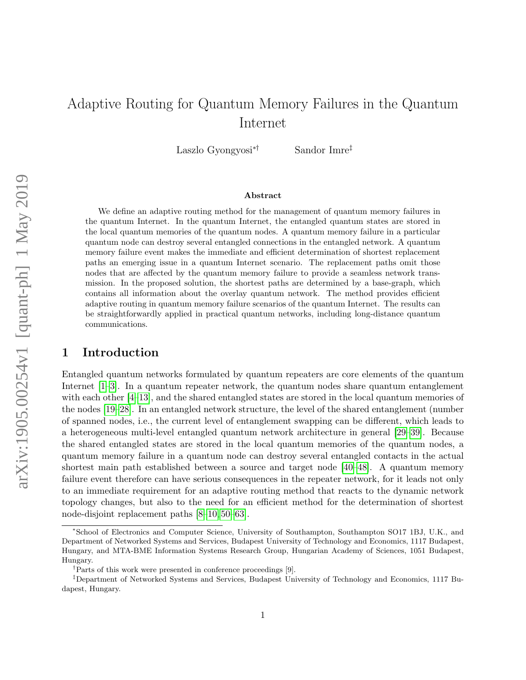# Adaptive Routing for Quantum Memory Failures in the Quantum Internet

Laszlo Gyongyosi∗† Sandor Imre‡

#### Abstract

We define an adaptive routing method for the management of quantum memory failures in the quantum Internet. In the quantum Internet, the entangled quantum states are stored in the local quantum memories of the quantum nodes. A quantum memory failure in a particular quantum node can destroy several entangled connections in the entangled network. A quantum memory failure event makes the immediate and efficient determination of shortest replacement paths an emerging issue in a quantum Internet scenario. The replacement paths omit those nodes that are affected by the quantum memory failure to provide a seamless network transmission. In the proposed solution, the shortest paths are determined by a base-graph, which contains all information about the overlay quantum network. The method provides efficient adaptive routing in quantum memory failure scenarios of the quantum Internet. The results can be straightforwardly applied in practical quantum networks, including long-distance quantum communications.

### 1 Introduction

Entangled quantum networks formulated by quantum repeaters are core elements of the quantum Internet [\[1–](#page-13-0)[3\]](#page-13-1). In a quantum repeater network, the quantum nodes share quantum entanglement with each other [\[4–](#page-13-2)[13\]](#page-14-0), and the shared entangled states are stored in the local quantum memories of the nodes [\[19](#page-14-1)[–28\]](#page-15-0). In an entangled network structure, the level of the shared entanglement (number of spanned nodes, i.e., the current level of entanglement swapping can be different, which leads to a heterogeneous multi-level entangled quantum network architecture in general [\[29–](#page-15-1)[39\]](#page-16-0). Because the shared entangled states are stored in the local quantum memories of the quantum nodes, a quantum memory failure in a quantum node can destroy several entangled contacts in the actual shortest main path established between a source and target node [\[40–](#page-16-1)[48\]](#page-16-2). A quantum memory failure event therefore can have serious consequences in the repeater network, for it leads not only to an immediate requirement for an adaptive routing method that reacts to the dynamic network topology changes, but also to the need for an efficient method for the determination of shortest node-disjoint replacement paths [\[8–](#page-14-2)[10,](#page-14-3) [50–](#page-16-3)[63\]](#page-17-0).

<sup>∗</sup>School of Electronics and Computer Science, University of Southampton, Southampton SO17 1BJ, U.K., and Department of Networked Systems and Services, Budapest University of Technology and Economics, 1117 Budapest, Hungary, and MTA-BME Information Systems Research Group, Hungarian Academy of Sciences, 1051 Budapest, Hungary.

<sup>†</sup>Parts of this work were presented in conference proceedings [9].

<sup>‡</sup>Department of Networked Systems and Services, Budapest University of Technology and Economics, 1117 Budapest, Hungary.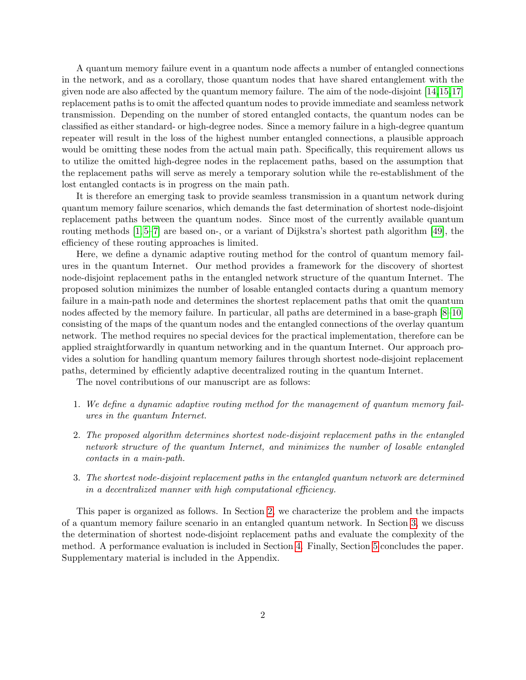A quantum memory failure event in a quantum node affects a number of entangled connections in the network, and as a corollary, those quantum nodes that have shared entanglement with the given node are also affected by the quantum memory failure. The aim of the node-disjoint [\[14,](#page-14-4)[15,](#page-14-5)[17\]](#page-14-6) replacement paths is to omit the affected quantum nodes to provide immediate and seamless network transmission. Depending on the number of stored entangled contacts, the quantum nodes can be classified as either standard- or high-degree nodes. Since a memory failure in a high-degree quantum repeater will result in the loss of the highest number entangled connections, a plausible approach would be omitting these nodes from the actual main path. Specifically, this requirement allows us to utilize the omitted high-degree nodes in the replacement paths, based on the assumption that the replacement paths will serve as merely a temporary solution while the re-establishment of the lost entangled contacts is in progress on the main path.

It is therefore an emerging task to provide seamless transmission in a quantum network during quantum memory failure scenarios, which demands the fast determination of shortest node-disjoint replacement paths between the quantum nodes. Since most of the currently available quantum routing methods [\[1,](#page-13-0) [5](#page-13-3)[–7\]](#page-14-7) are based on-, or a variant of Dijkstra's shortest path algorithm [\[49\]](#page-16-4), the efficiency of these routing approaches is limited.

Here, we define a dynamic adaptive routing method for the control of quantum memory failures in the quantum Internet. Our method provides a framework for the discovery of shortest node-disjoint replacement paths in the entangled network structure of the quantum Internet. The proposed solution minimizes the number of losable entangled contacts during a quantum memory failure in a main-path node and determines the shortest replacement paths that omit the quantum nodes affected by the memory failure. In particular, all paths are determined in a base-graph [\[8–](#page-14-2)[10\]](#page-14-3) consisting of the maps of the quantum nodes and the entangled connections of the overlay quantum network. The method requires no special devices for the practical implementation, therefore can be applied straightforwardly in quantum networking and in the quantum Internet. Our approach provides a solution for handling quantum memory failures through shortest node-disjoint replacement paths, determined by efficiently adaptive decentralized routing in the quantum Internet.

The novel contributions of our manuscript are as follows:

- 1. We define a dynamic adaptive routing method for the management of quantum memory failures in the quantum Internet.
- 2. The proposed algorithm determines shortest node-disjoint replacement paths in the entangled network structure of the quantum Internet, and minimizes the number of losable entangled contacts in a main-path.
- 3. The shortest node-disjoint replacement paths in the entangled quantum network are determined in a decentralized manner with high computational efficiency.

This paper is organized as follows. In Section [2,](#page-2-0) we characterize the problem and the impacts of a quantum memory failure scenario in an entangled quantum network. In Section [3,](#page-7-0) we discuss the determination of shortest node-disjoint replacement paths and evaluate the complexity of the method. A performance evaluation is included in Section [4.](#page-11-0) Finally, Section [5](#page-13-4) concludes the paper. Supplementary material is included in the Appendix.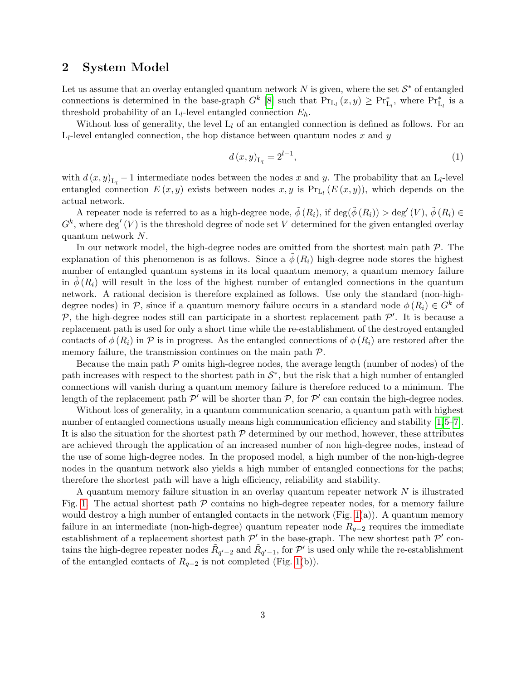### <span id="page-2-0"></span>2 System Model

Let us assume that an overlay entangled quantum network N is given, where the set  $S^*$  of entangled connections is determined in the base-graph  $G^k$  [\[8\]](#page-14-2) such that  $Pr_{L_l}(x,y) \ge Pr_{L_l}^*$ , where  $Pr_{L_l}^*$  is a threshold probability of an  $L_l$ -level entangled connection  $E_h$ .

Without loss of generality, the level  $L_l$  of an entangled connection is defined as follows. For an  $L_l$ -level entangled connection, the hop distance between quantum nodes x and y

$$
d(x, y)_{\mathcal{L}_l} = 2^{l-1},\tag{1}
$$

with  $d(x, y)_{L_l} - 1$  intermediate nodes between the nodes x and y. The probability that an  $L_l$ -level entangled connection  $E(x, y)$  exists between nodes  $x, y$  is  $Pr_{L_l}(E(x, y))$ , which depends on the actual network.

A repeater node is referred to as a high-degree node,  $\tilde{\phi}(R_i)$ , if  $\deg(\tilde{\phi}(R_i)) > \deg'(V)$ ,  $\tilde{\phi}(R_i) \in$  $G<sup>k</sup>$ , where deg' (V) is the threshold degree of node set V determined for the given entangled overlay quantum network N.

In our network model, the high-degree nodes are omitted from the shortest main path  $\mathcal{P}$ . The explanation of this phenomenon is as follows. Since a  $\phi(R_i)$  high-degree node stores the highest number of entangled quantum systems in its local quantum memory, a quantum memory failure in  $\phi(R_i)$  will result in the loss of the highest number of entangled connections in the quantum network. A rational decision is therefore explained as follows. Use only the standard (non-highdegree nodes) in P, since if a quantum memory failure occurs in a standard node  $\phi(R_i) \in G^k$  of  $P$ , the high-degree nodes still can participate in a shortest replacement path  $P'$ . It is because a replacement path is used for only a short time while the re-establishment of the destroyed entangled contacts of  $\phi(R_i)$  in  $\mathcal P$  is in progress. As the entangled connections of  $\phi(R_i)$  are restored after the memory failure, the transmission continues on the main path  $P$ .

Because the main path  $P$  omits high-degree nodes, the average length (number of nodes) of the path increases with respect to the shortest path in  $S^*$ , but the risk that a high number of entangled connections will vanish during a quantum memory failure is therefore reduced to a minimum. The length of the replacement path  $\mathcal{P}'$  will be shorter than  $\mathcal{P}$ , for  $\mathcal{P}'$  can contain the high-degree nodes.

Without loss of generality, in a quantum communication scenario, a quantum path with highest number of entangled connections usually means high communication efficiency and stability [\[1,](#page-13-0)[5–](#page-13-3)[7\]](#page-14-7). It is also the situation for the shortest path  $P$  determined by our method, however, these attributes are achieved through the application of an increased number of non high-degree nodes, instead of the use of some high-degree nodes. In the proposed model, a high number of the non-high-degree nodes in the quantum network also yields a high number of entangled connections for the paths; therefore the shortest path will have a high efficiency, reliability and stability.

A quantum memory failure situation in an overlay quantum repeater network  $N$  is illustrated Fig. [1.](#page-3-0) The actual shortest path  $P$  contains no high-degree repeater nodes, for a memory failure would destroy a high number of entangled contacts in the network  $(Fig. 1(a))$  $(Fig. 1(a))$  $(Fig. 1(a))$ . A quantum memory failure in an intermediate (non-high-degree) quantum repeater node  $R_{q-2}$  requires the immediate establishment of a replacement shortest path  $\mathcal{P}'$  in the base-graph. The new shortest path  $\mathcal{P}'$  contains the high-degree repeater nodes  $\tilde{R}_{q'-2}$  and  $\tilde{R}_{q'-1}$ , for  $\mathcal{P}'$  is used only while the re-establishment of the entangled contacts of  $R_{q-2}$  is not completed (Fig. [1\(](#page-3-0)b)).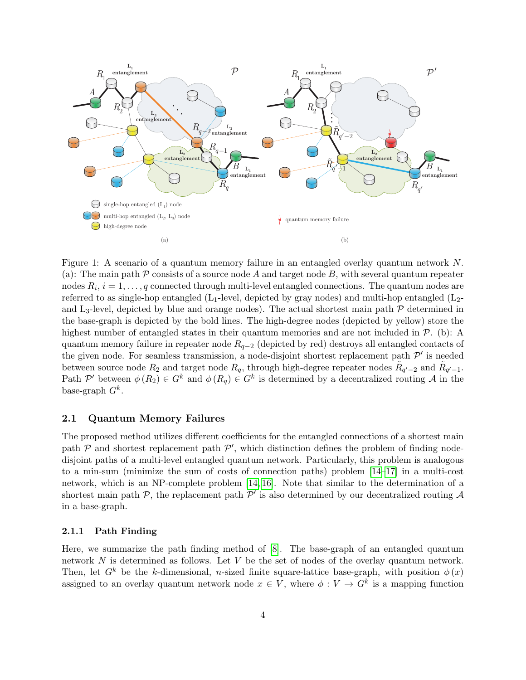

<span id="page-3-0"></span>Figure 1: A scenario of a quantum memory failure in an entangled overlay quantum network N. (a): The main path  $P$  consists of a source node A and target node B, with several quantum repeater nodes  $R_i$ ,  $i = 1, \ldots, q$  connected through multi-level entangled connections. The quantum nodes are referred to as single-hop entangled  $(L_1$ -level, depicted by gray nodes) and multi-hop entangled  $(L_2$ and  $L_3$ -level, depicted by blue and orange nodes). The actual shortest main path  $\mathcal P$  determined in the base-graph is depicted by the bold lines. The high-degree nodes (depicted by yellow) store the highest number of entangled states in their quantum memories and are not included in P. (b): A quantum memory failure in repeater node  $R_{q-2}$  (depicted by red) destroys all entangled contacts of the given node. For seamless transmission, a node-disjoint shortest replacement path  $\mathcal{P}'$  is needed between source node  $R_2$  and target node  $R_q$ , through high-degree repeater nodes  $\tilde{R}_{q'-2}$  and  $\tilde{R}_{q'-1}$ . Path P' between  $\phi(R_2) \in G^k$  and  $\phi(R_q) \in G^k$  is determined by a decentralized routing A in the base-graph  $G^k$ .

#### 2.1 Quantum Memory Failures

The proposed method utilizes different coefficients for the entangled connections of a shortest main path  $P$  and shortest replacement path  $P'$ , which distinction defines the problem of finding nodedisjoint paths of a multi-level entangled quantum network. Particularly, this problem is analogous to a min-sum (minimize the sum of costs of connection paths) problem [\[14–](#page-14-4)[17\]](#page-14-6) in a multi-cost network, which is an NP-complete problem [\[14,](#page-14-4) [16\]](#page-14-8). Note that similar to the determination of a shortest main path  $P$ , the replacement path  $P'$  is also determined by our decentralized routing A in a base-graph.

#### <span id="page-3-1"></span>2.1.1 Path Finding

Here, we summarize the path finding method of [\[8\]](#page-14-2). The base-graph of an entangled quantum network  $N$  is determined as follows. Let  $V$  be the set of nodes of the overlay quantum network. Then, let  $G^k$  be the k-dimensional, n-sized finite square-lattice base-graph, with position  $\phi(x)$ assigned to an overlay quantum network node  $x \in V$ , where  $\phi: V \to G^k$  is a mapping function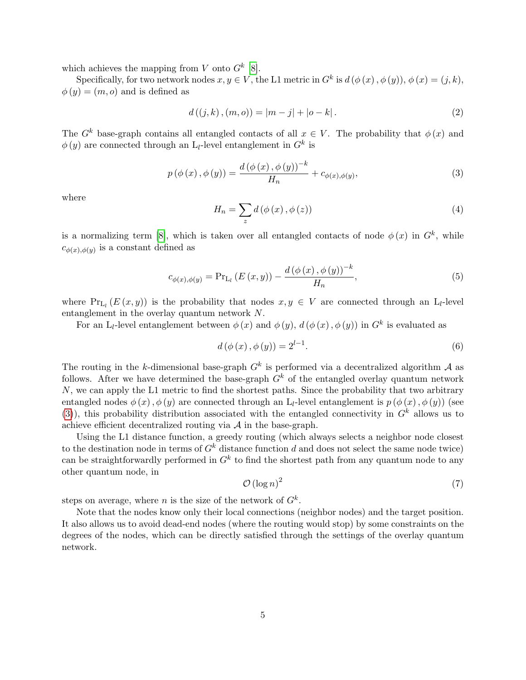which achieves the mapping from V onto  $G^k$  [\[8\]](#page-14-2).

Specifically, for two network nodes  $x, y \in V$ , the L1 metric in  $G^k$  is  $d(\phi(x), \phi(y))$ ,  $\phi(x) = (j, k)$ ,  $\phi(y) = (m, o)$  and is defined as

$$
d((j,k),(m,o)) = |m-j| + |o-k|.
$$
 (2)

The  $G^k$  base-graph contains all entangled contacts of all  $x \in V$ . The probability that  $\phi(x)$  and  $\phi(y)$  are connected through an L<sub>l</sub>-level entanglement in  $G^k$  is

<span id="page-4-0"></span>
$$
p(\phi(x), \phi(y)) = \frac{d(\phi(x), \phi(y))^{-k}}{H_n} + c_{\phi(x), \phi(y)},
$$
\n(3)

where

$$
H_n = \sum_{z} d\left(\phi\left(x\right), \phi\left(z\right)\right) \tag{4}
$$

is a normalizing term [\[8\]](#page-14-2), which is taken over all entangled contacts of node  $\phi(x)$  in  $G<sup>k</sup>$ , while  $c_{\phi(x),\phi(y)}$  is a constant defined as

$$
c_{\phi(x),\phi(y)} = \Pr_{L_l}(E(x,y)) - \frac{d(\phi(x),\phi(y))^{-k}}{H_n},
$$
\n(5)

where  $Pr_{L_l}(E(x, y))$  is the probability that nodes  $x, y \in V$  are connected through an  $L_l$ -level entanglement in the overlay quantum network N.

For an L<sub>l</sub>-level entanglement between  $\phi(x)$  and  $\phi(y)$ ,  $d(\phi(x), \phi(y))$  in  $G^k$  is evaluated as

$$
d(\phi(x), \phi(y)) = 2^{l-1}.
$$
 (6)

The routing in the k-dimensional base-graph  $G^k$  is performed via a decentralized algorithm A as follows. After we have determined the base-graph  $G<sup>k</sup>$  of the entangled overlay quantum network N, we can apply the L1 metric to find the shortest paths. Since the probability that two arbitrary entangled nodes  $\phi(x)$ ,  $\phi(y)$  are connected through an L<sub>l</sub>-level entanglement is  $p(\phi(x), \phi(y))$  (see [\(3\)](#page-4-0)), this probability distribution associated with the entangled connectivity in  $G<sup>k</sup>$  allows us to achieve efficient decentralized routing via  $A$  in the base-graph.

Using the L1 distance function, a greedy routing (which always selects a neighbor node closest to the destination node in terms of  $G<sup>k</sup>$  distance function d and does not select the same node twice) can be straightforwardly performed in  $G<sup>k</sup>$  to find the shortest path from any quantum node to any other quantum node, in

<span id="page-4-1"></span>
$$
\mathcal{O}\left(\log n\right)^2\tag{7}
$$

steps on average, where *n* is the size of the network of  $G^k$ .

Note that the nodes know only their local connections (neighbor nodes) and the target position. It also allows us to avoid dead-end nodes (where the routing would stop) by some constraints on the degrees of the nodes, which can be directly satisfied through the settings of the overlay quantum network.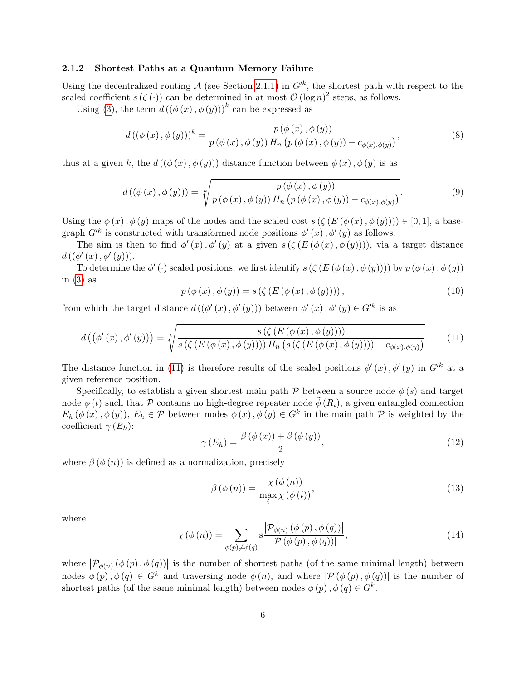#### 2.1.2 Shortest Paths at a Quantum Memory Failure

Using the decentralized routing A (see Section [2.1.1\)](#page-3-1) in  $G'^k$ , the shortest path with respect to the scaled coefficient  $s(\zeta(\cdot))$  can be determined in at most  $\mathcal{O}(\log n)^2$  steps, as follows.

Using [\(3\)](#page-4-0), the term  $d((\phi(x), \phi(y)))^k$  can be expressed as

$$
d((\phi(x), \phi(y)))^{k} = \frac{p(\phi(x), \phi(y))}{p(\phi(x), \phi(y)) H_{n}(p(\phi(x), \phi(y)) - c_{\phi(x), \phi(y)})},
$$
\n(8)

thus at a given k, the  $d((\phi(x), \phi(y)))$  distance function between  $\phi(x), \phi(y)$  is as

$$
d((\phi(x), \phi(y))) = \sqrt[k]{\frac{p(\phi(x), \phi(y))}{p(\phi(x), \phi(y)) H_n (p(\phi(x), \phi(y)) - c_{\phi(x), \phi(y)})}}.
$$
(9)

Using the  $\phi(x)$ ,  $\phi(y)$  maps of the nodes and the scaled cost  $s(\zeta(E(\phi(x), \phi(y)))) \in [0, 1]$ , a basegraph  $G^{k}$  is constructed with transformed node positions  $\phi'(x)$ ,  $\phi'(y)$  as follows.

The aim is then to find  $\phi'(x)$ ,  $\phi'(y)$  at a given  $s(\zeta(E(\phi(x), \phi(y))))$ , via a target distance  $d((\phi'(x), \phi'(y))).$ 

To determine the  $\phi'(\cdot)$  scaled positions, we first identify  $s(\zeta(E(\phi(x), \phi(y))))$  by  $p(\phi(x), \phi(y))$ in  $(3)$  as

$$
p(\phi(x), \phi(y)) = s(\zeta(E(\phi(x), \phi(y))))\,,\tag{10}
$$

from which the target distance  $d((\phi'(x), \phi'(y)))$  between  $\phi'(x), \phi'(y) \in G^{ik}$  is as

<span id="page-5-0"></span>
$$
d\left(\left(\phi'(x),\phi'(y)\right)\right) = \sqrt[k]{\frac{s\left(\zeta\left(E\left(\phi(x),\phi(y)\right)\right)\right)}{s\left(\zeta\left(E\left(\phi(x),\phi(y)\right)\right)\right)H_n\left(s\left(\zeta\left(E\left(\phi(x),\phi(y)\right)\right)\right) - c_{\phi(x),\phi(y)}\right)}}.
$$
(11)

The distance function in [\(11\)](#page-5-0) is therefore results of the scaled positions  $\phi'(x)$ ,  $\phi'(y)$  in  $G'^k$  at a given reference position.

Specifically, to establish a given shortest main path  $\mathcal P$  between a source node  $\phi(s)$  and target node  $\phi(t)$  such that P contains no high-degree repeater node  $\tilde{\phi}(R_i)$ , a given entangled connection  $E_h(\phi(x), \phi(y)), E_h \in \mathcal{P}$  between nodes  $\phi(x), \phi(y) \in G^k$  in the main path  $\mathcal P$  is weighted by the coefficient  $\gamma(E_h)$ :

<span id="page-5-1"></span>
$$
\gamma(E_h) = \frac{\beta(\phi(x)) + \beta(\phi(y))}{2},\tag{12}
$$

where  $\beta(\phi(n))$  is defined as a normalization, precisely

$$
\beta(\phi(n)) = \frac{\chi(\phi(n))}{\max_{i} \chi(\phi(i))},
$$
\n(13)

where

$$
\chi(\phi(n)) = \sum_{\phi(p)\neq\phi(q)} s \frac{\left|\mathcal{P}_{\phi(n)}(\phi(p), \phi(q))\right|}{\left|\mathcal{P}(\phi(p), \phi(q))\right|},\tag{14}
$$

where  $\left|\mathcal{P}_{\phi(n)}\left(\phi\left(p\right),\phi\left(q\right)\right)\right|$  is the number of shortest paths (of the same minimal length) between nodes  $\phi(p), \phi(q) \in G^k$  and traversing node  $\phi(n)$ , and where  $|\mathcal{P}(\phi(p), \phi(q))|$  is the number of shortest paths (of the same minimal length) between nodes  $\phi(p), \phi(q) \in G^k$ .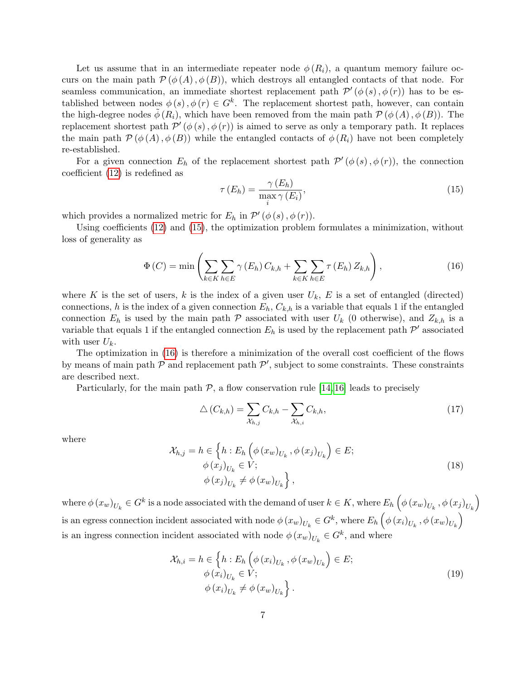Let us assume that in an intermediate repeater node  $\phi(R_i)$ , a quantum memory failure occurs on the main path  $\mathcal{P}(\phi(A), \phi(B))$ , which destroys all entangled contacts of that node. For seamless communication, an immediate shortest replacement path  $\mathcal{P}'(\phi(s), \phi(r))$  has to be established between nodes  $\phi(s), \phi(r) \in G^k$ . The replacement shortest path, however, can contain the high-degree nodes  $\phi(R_i)$ , which have been removed from the main path  $\mathcal{P}(\phi(A), \phi(B))$ . The replacement shortest path  $\mathcal{P}'(\phi(s), \phi(r))$  is aimed to serve as only a temporary path. It replaces the main path  $\mathcal{P}(\phi(A), \phi(B))$  while the entangled contacts of  $\phi(R_i)$  have not been completely re-established.

For a given connection  $E_h$  of the replacement shortest path  $\mathcal{P}'(\phi(s), \phi(r))$ , the connection coefficient [\(12\)](#page-5-1) is redefined as

<span id="page-6-0"></span>
$$
\tau(E_h) = \frac{\gamma(E_h)}{\max_i \gamma(E_i)},
$$
\n(15)

which provides a normalized metric for  $E_h$  in  $\mathcal{P}'(\phi(s), \phi(r))$ .

Using coefficients [\(12\)](#page-5-1) and [\(15\)](#page-6-0), the optimization problem formulates a minimization, without loss of generality as

<span id="page-6-1"></span>
$$
\Phi\left(C\right) = \min\left(\sum_{k \in K} \sum_{h \in E} \gamma\left(E_h\right) C_{k,h} + \sum_{k \in K} \sum_{h \in E} \tau\left(E_h\right) Z_{k,h}\right),\tag{16}
$$

where K is the set of users, k is the index of a given user  $U_k$ , E is a set of entangled (directed) connections, h is the index of a given connection  $E_h$ ,  $C_{k,h}$  is a variable that equals 1 if the entangled connection  $E_h$  is used by the main path  $P$  associated with user  $U_k$  (0 otherwise), and  $Z_{k,h}$  is a variable that equals 1 if the entangled connection  $E_h$  is used by the replacement path  $\mathcal{P}'$  associated with user  $U_k$ .

The optimization in [\(16\)](#page-6-1) is therefore a minimization of the overall cost coefficient of the flows by means of main path  $P$  and replacement path  $P'$ , subject to some constraints. These constraints are described next.

Particularly, for the main path  $P$ , a flow conservation rule [\[14,](#page-14-4) [16\]](#page-14-8) leads to precisely

$$
\triangle (C_{k,h}) = \sum_{\mathcal{X}_{h,j}} C_{k,h} - \sum_{\mathcal{X}_{h,i}} C_{k,h},
$$
\n(17)

where

<span id="page-6-2"></span>
$$
\mathcal{X}_{h,j} = h \in \left\{ h : E_h \left( \phi \left( x_w \right)_{U_k}, \phi \left( x_j \right)_{U_k} \right) \in E; \right\}
$$
  
\n
$$
\phi \left( x_j \right)_{U_k} \in V; \left\{ \phi \left( x_w \right)_{U_k} \neq \phi \left( x_w \right)_{U_k} \right\},
$$
\n(18)

where  $\phi(x_w)_{U_k} \in G^k$  is a node associated with the demand of user  $k \in K$ , where  $E_h\left(\phi\left(x_w\right)_{U_k},\phi\left(x_j\right)_{U_k}\right)$ is an egress connection incident associated with node  $\phi\left(x_w\right)_{U_k} \in G^k,$  where  $E_h\left(\phi\left(x_i\right)_{U_k},\phi\left(x_w\right)_{U_k}\right)$ is an ingress connection incident associated with node  $\phi(x_w)_{U_k} \in G^k$ , and where

<span id="page-6-3"></span>
$$
\mathcal{X}_{h,i} = h \in \left\{ h : E_h \left( \phi \left( x_i \right)_{U_k}, \phi \left( x_w \right)_{U_k} \right) \in E; \right. \\
\phi \left( x_i \right)_{U_k} \in V; \\
\phi \left( x_i \right)_{U_k} \neq \phi \left( x_w \right)_{U_k} \right\}.
$$
\n(19)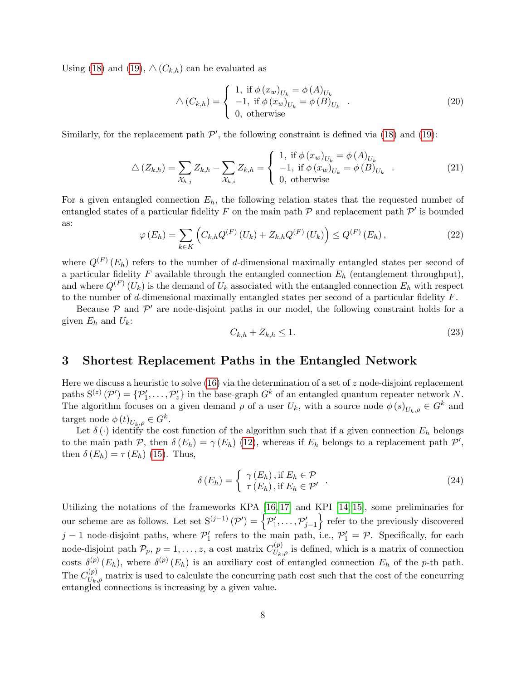Using [\(18\)](#page-6-2) and [\(19\)](#page-6-3),  $\Delta(C_{k,h})$  can be evaluated as

$$
\triangle (C_{k,h}) = \begin{cases} 1, & \text{if } \phi(x_w)_{U_k} = \phi(A)_{U_k} \\ -1, & \text{if } \phi(x_w)_{U_k} = \phi(B)_{U_k} \\ 0, & \text{otherwise} \end{cases}
$$
 (20)

Similarly, for the replacement path  $\mathcal{P}'$ , the following constraint is defined via [\(18\)](#page-6-2) and [\(19\)](#page-6-3):

$$
\Delta (Z_{k,h}) = \sum_{\mathcal{X}_{h,j}} Z_{k,h} - \sum_{\mathcal{X}_{h,i}} Z_{k,h} = \begin{cases} 1, & \text{if } \phi(x_w)_{U_k} = \phi(A)_{U_k} \\ -1, & \text{if } \phi(x_w)_{U_k} = \phi(B)_{U_k} \\ 0, & \text{otherwise} \end{cases} .
$$
 (21)

For a given entangled connection  $E_h$ , the following relation states that the requested number of entangled states of a particular fidelity F on the main path  $P$  and replacement path  $P'$  is bounded as:

$$
\varphi(E_h) = \sum_{k \in K} \left( C_{k,h} Q^{(F)} \left( U_k \right) + Z_{k,h} Q^{(F)} \left( U_k \right) \right) \leq Q^{(F)} \left( E_h \right),\tag{22}
$$

where  $Q^{(F)}(E_h)$  refers to the number of d-dimensional maximally entangled states per second of a particular fidelity F available through the entangled connection  $E_h$  (entanglement throughput), and where  $Q^{(F)}(U_k)$  is the demand of  $U_k$  associated with the entangled connection  $E_h$  with respect to the number of d-dimensional maximally entangled states per second of a particular fidelity F.

Because  $P$  and  $P'$  are node-disjoint paths in our model, the following constraint holds for a given  $E_h$  and  $U_k$ :

$$
C_{k,h} + Z_{k,h} \le 1. \tag{23}
$$

### <span id="page-7-0"></span>3 Shortest Replacement Paths in the Entangled Network

Here we discuss a heuristic to solve  $(16)$  via the determination of a set of z node-disjoint replacement paths  $S^{(z)}(\mathcal{P}') = \{\mathcal{P}'_1, \ldots, \mathcal{P}'_z\}$  in the base-graph  $G^k$  of an entangled quantum repeater network N. The algorithm focuses on a given demand  $\rho$  of a user  $U_k$ , with a source node  $\phi(s)_{U_k,\rho} \in G^k$  and target node  $\phi(t)_{U_k, \rho} \in G^k$ .

Let  $\delta(\cdot)$  identify the cost function of the algorithm such that if a given connection  $E_h$  belongs to the main path P, then  $\delta(E_h) = \gamma(E_h)$  [\(12\)](#page-5-1), whereas if  $E_h$  belongs to a replacement path  $\mathcal{P}'$ , then  $\delta(E_h) = \tau(E_h)$  [\(15\)](#page-6-0). Thus,

$$
\delta(E_h) = \begin{cases} \gamma(E_h), \text{if } E_h \in \mathcal{P} \\ \tau(E_h), \text{if } E_h \in \mathcal{P}' \end{cases} . \tag{24}
$$

Utilizing the notations of the frameworks KPA [\[16,](#page-14-8) [17\]](#page-14-6) and KPI [\[14,](#page-14-4) [15\]](#page-14-5), some preliminaries for our scheme are as follows. Let set  $S^{(j-1)}(\mathcal{P}') = \{P'_1, \ldots, P'_{j-1}\}\$ refer to the previously discovered  $j-1$  node-disjoint paths, where  $\mathcal{P}'_1$  refers to the main path, i.e.,  $\mathcal{P}'_1 = \mathcal{P}$ . Specifically, for each node-disjoint path  $\mathcal{P}_p$ ,  $p = 1, \ldots, z$ , a cost matrix  $C_{U_k, \rho}^{(p)}$  is defined, which is a matrix of connection costs  $\delta^{(p)}(E_h)$ , where  $\delta^{(p)}(E_h)$  is an auxiliary cost of entangled connection  $E_h$  of the p-th path. The  $C_{U_k,\rho}^{(p)}$  matrix is used to calculate the concurring path cost such that the cost of the concurring entangled connections is increasing by a given value.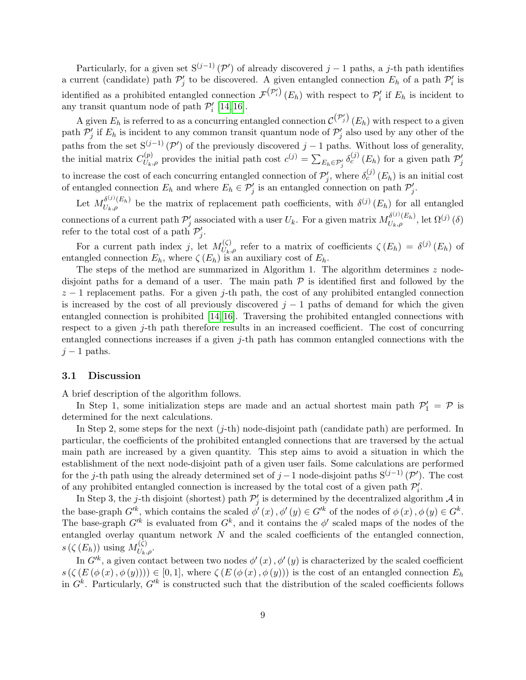Particularly, for a given set  $S^{(j-1)}(\mathcal{P}')$  of already discovered  $j-1$  paths, a j-th path identifies a current (candidate) path  $\mathcal{P}'_j$  to be discovered. A given entangled connection  $E_h$  of a path  $\mathcal{P}'_i$  is identified as a prohibited entangled connection  $\mathcal{F}^{(\mathcal{P}'_i)}(E_h)$  with respect to  $\mathcal{P}'_i$  if  $E_h$  is incident to any transit quantum node of path  $\mathcal{P}'_i$  [\[14,](#page-14-4) [16\]](#page-14-8).

A given  $E_h$  is referred to as a concurring entangled connection  $\mathcal{C}^{(\mathcal{P}'_j)}(E_h)$  with respect to a given path  $\mathcal{P}'_j$  if  $E_h$  is incident to any common transit quantum node of  $\mathcal{P}'_j$  also used by any other of the paths from the set  $S^{(j-1)}(\mathcal{P}')$  of the previously discovered j – 1 paths. Without loss of generality, the initial matrix  $C_{U_k,\rho}^{(p)}$  provides the initial path cost  $c^{(j)} = \sum_{E_h \in \mathcal{P}'_j} \delta_c^{(j)}(E_h)$  for a given path  $\mathcal{P}'_j$ to increase the cost of each concurring entangled connection of  $\mathcal{P}'_j$ , where  $\delta_c^{(j)}(E_h)$  is an initial cost of entangled connection  $E_h$  and where  $E_h \in \mathcal{P}'_j$  is an entangled connection on path  $\mathcal{P}'_j$ .

Let  $M_{U_k,\rho}^{\delta^{(j)}(E_h)}$  be the matrix of replacement path coefficients, with  $\delta^{(j)}(E_h)$  for all entangled connections of a current path  $\mathcal{P}'_j$  associated with a user  $U_k$ . For a given matrix  $M_{U_k,\rho}^{\delta^{(j)}(E_h)}$ , let  $\Omega^{(j)}(\delta)$ refer to the total cost of a path  $\mathcal{P}'_j$ .

For a current path index j, let  $M_{U_k,\rho}^{(\zeta)}$  refer to a matrix of coefficients  $\zeta(E_h) = \delta^{(j)}(E_h)$  of entangled connection  $E_h$ , where  $\zeta(E_h)$  is an auxiliary cost of  $E_h$ .

The steps of the method are summarized in Algorithm 1. The algorithm determines z nodedisjoint paths for a demand of a user. The main path  $P$  is identified first and followed by the  $z - 1$  replacement paths. For a given j-th path, the cost of any prohibited entangled connection is increased by the cost of all previously discovered  $j-1$  paths of demand for which the given entangled connection is prohibited [\[14,](#page-14-4) [16\]](#page-14-8). Traversing the prohibited entangled connections with respect to a given j-th path therefore results in an increased coefficient. The cost of concurring entangled connections increases if a given j-th path has common entangled connections with the  $j-1$  paths.

#### 3.1 Discussion

A brief description of the algorithm follows.

In Step 1, some initialization steps are made and an actual shortest main path  $\mathcal{P}'_1 = \mathcal{P}$  is determined for the next calculations.

In Step 2, some steps for the next  $(j-th)$  node-disjoint path (candidate path) are performed. In particular, the coefficients of the prohibited entangled connections that are traversed by the actual main path are increased by a given quantity. This step aims to avoid a situation in which the establishment of the next node-disjoint path of a given user fails. Some calculations are performed for the j-th path using the already determined set of j – 1 node-disjoint paths  $S^{(j-1)}(\mathcal{P}')$ . The cost of any prohibited entangled connection is increased by the total cost of a given path  $\mathcal{P}'_i$ .

In Step 3, the j-th disjoint (shortest) path  $\mathcal{P}'_j$  is determined by the decentralized algorithm  $\mathcal A$  in the base-graph  $G'^k$ , which contains the scaled  $\phi'(x)$ ,  $\phi'(y) \in G'^k$  of the nodes of  $\phi(x)$ ,  $\phi(y) \in G^k$ . The base-graph  $G'^k$  is evaluated from  $G^k$ , and it contains the  $\phi'$  scaled maps of the nodes of the entangled overlay quantum network  $N$  and the scaled coefficients of the entangled connection,  $s(\zeta(E_h))$  using  $M_{U_k,\rho}^{(\zeta)}$ .

In  $G^{\prime k}$ , a given contact between two nodes  $\phi'(x)$ ,  $\phi'(y)$  is characterized by the scaled coefficient  $s(\zeta(E(\phi(x),\phi(y)))) \in [0,1],$  where  $\zeta(E(\phi(x),\phi(y)))$  is the cost of an entangled connection  $E_h$ in  $G^k$ . Particularly,  $G'^k$  is constructed such that the distribution of the scaled coefficients follows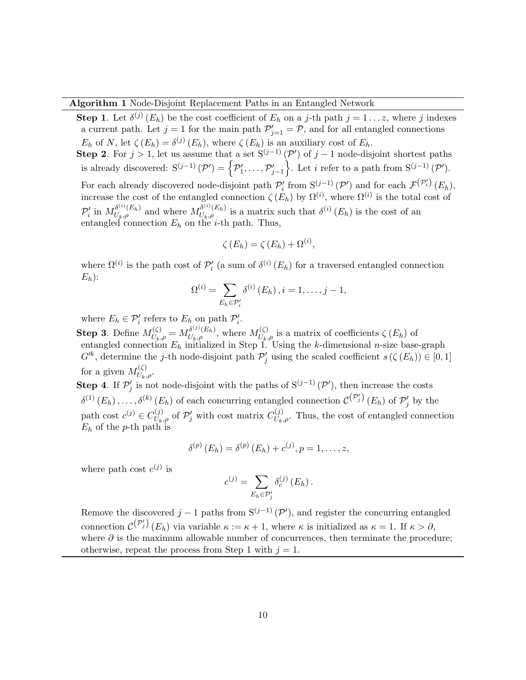#### Algorithm 1 Node-Disjoint Replacement Paths in an Entangled Network

**Step 1**. Let  $\delta^{(j)}(E_h)$  be the cost coefficient of  $E_h$  on a j-th path  $j = 1 \ldots z$ , where j indexes a current path. Let  $j = 1$  for the main path  $\mathcal{P}'_{j=1} = \mathcal{P}$ , and for all entangled connections  $E_h$  of N, let  $\zeta(E_h) = \delta^{(j)}(E_h)$ , where  $\zeta(E_h)$  is an auxiliary cost of  $E_h$ . **Step 2.** For  $j > 1$ , let us assume that a set  $S^{(j-1)}(\mathcal{P}')$  of  $j-1$  node-disjoint shortest paths is already discovered:  $S^{(j-1)}(\mathcal{P}') = \left\{ \mathcal{P}'_1, \ldots, \mathcal{P}'_{j-1} \right\}$ . Let i refer to a path from  $S^{(j-1)}(\mathcal{P}')$ . For each already discovered node-disjoint path  $\mathcal{P}'_i$  from  $S^{(j-1)}(\mathcal{P}')$  and for each  $\mathcal{F}^{(\mathcal{P}'_i)}(E_h)$ , increase the cost of the entangled connection  $\zeta(E_h)$  by  $\Omega^{(i)}$ , where  $\Omega^{(i)}$  is the total cost of  $\mathcal{P}'_i$  in  $M_{U_k,\rho}^{\delta^{(i)}(E_h)}$  and where  $M_{U_k,\rho}^{\delta^{(i)}(E_h)}$  is a matrix such that  $\delta^{(i)}(E_h)$  is the cost of an entangled connection  $E_h$  on the *i*-th path. Thus,

$$
\zeta(E_h) = \zeta(E_h) + \Omega^{(i)},
$$

where  $\Omega^{(i)}$  is the path cost of  $\mathcal{P}'_i$  (a sum of  $\delta^{(i)}(E_h)$  for a traversed entangled connection  $E_h$ ):

$$
\Omega^{(i)} = \sum_{E_h \in \mathcal{P}'_i} \delta^{(i)}(E_h), i = 1, \dots, j-1,
$$

where  $E_h \in \mathcal{P}'_i$  refers to  $E_h$  on path  $\mathcal{P}'_i$ .

**Step 3**. Define  $M_{U_k,\rho}^{(\zeta)} = M_{U_k,\rho}^{\delta^{(j)}(E_h)}$ , where  $M_{U_k,\rho}^{(\zeta)}$  is a matrix of coefficients  $\zeta(E_h)$  of entangled connection  $E_h$  initialized in Step 1. Using the k-dimensional *n*-size base-graph  $G^{ik}$ , determine the j-th node-disjoint path  $\mathcal{P}'_j$  using the scaled coefficient  $s(\zeta(E_h)) \in [0,1]$ for a given  $M_{U_k, \rho}^{(\zeta)}$ .

**Step 4**. If  $\mathcal{P}'_j$  is not node-disjoint with the paths of  $S^{(j-1)}(\mathcal{P}')$ , then increase the costs  $\delta^{(1)}(E_h), \ldots, \delta^{(k)}(E_h)$  of each concurring entangled connection  $\mathcal{C}^{(\mathcal{P}'_j)}(E_h)$  of  $\mathcal{P}'_j$  by the path cost  $c^{(j)} \in C_{U_k,\rho}^{(j)}$  of  $\mathcal{P}'_j$  with cost matrix  $C_{U_k,\rho}^{(j)}$ . Thus, the cost of entangled connection  $E_h$  of the p-th path is

$$
\delta^{(p)}(E_h) = \delta^{(p)}(E_h) + c^{(j)}, p = 1, \dots, z,
$$

where path cost  $c^{(j)}$  is

$$
c^{(j)} = \sum_{E_h \in \mathcal{P}'_j} \delta_c^{(j)}(E_h).
$$

Remove the discovered  $j-1$  paths from  $S^{(j-1)}(\mathcal{P}')$ , and register the concurring entangled connection  $\mathcal{C}^{(\mathcal{P}'_j)}(E_h)$  via variable  $\kappa := \kappa + 1$ , where  $\kappa$  is initialized as  $\kappa = 1$ . If  $\kappa > \partial$ , where  $\partial$  is the maximum allowable number of concurrences, then terminate the procedure; otherwise, repeat the process from Step 1 with  $j = 1$ .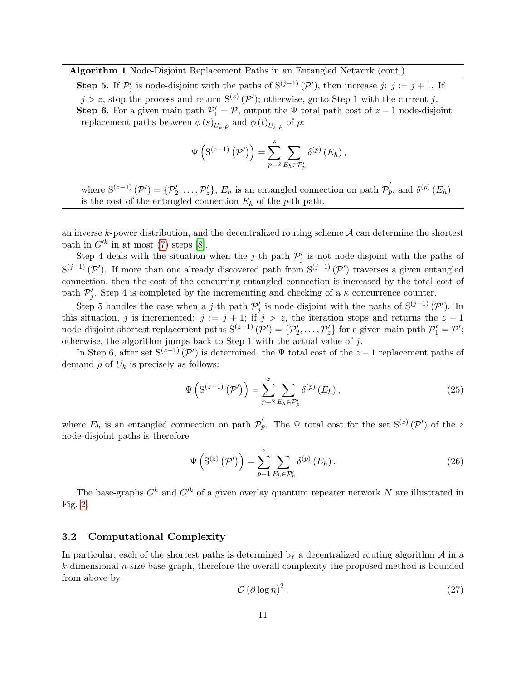Algorithm 1 Node-Disjoint Replacement Paths in an Entangled Network (cont.)

**Step 5.** If  $\mathcal{P}'_j$  is node-disjoint with the paths of  $S^{(j-1)}(\mathcal{P}')$ , then increase j: j := j + 1. If  $j > z$ , stop the process and return  $S^{(z)}(\mathcal{P}')$ ; otherwise, go to Step 1 with the current j. **Step 6**. For a given main path  $\mathcal{P}'_1 = \mathcal{P}$ , output the  $\Psi$  total path cost of  $z - 1$  node-disjoint replacement paths between  $\phi(s)_{U_k, \rho}$  and  $\phi(t)_{U_k, \rho}$  of  $\rho$ :

$$
\Psi\left(S^{(z-1)}\left(\mathcal{P}'\right)\right) = \sum_{p=2}^{z} \sum_{E_h \in \mathcal{P}'_p} \delta^{(p)}\left(E_h\right),
$$

where  $S^{(z-1)}(\mathcal{P}') = \{\mathcal{P}'_2, \ldots, \mathcal{P}'_z\}, E_h$  is an entangled connection on path  $\mathcal{P}'_p$ , and  $\delta^{(p)}(E_h)$ is the cost of the entangled connection  $E_h$  of the p-th path.

an inverse  $k$ -power distribution, and the decentralized routing scheme  $\mathcal A$  can determine the shortest path in  $G^{\prime k}$  in at most [\(7\)](#page-4-1) steps [\[8\]](#page-14-2).

Step 4 deals with the situation when the j-th path  $\mathcal{P}'_j$  is not node-disjoint with the paths of  $S^{(j-1)}(\mathcal{P}')$ . If more than one already discovered path from  $S^{(j-1)}(\mathcal{P}')$  traverses a given entangled connection, then the cost of the concurring entangled connection is increased by the total cost of path  $\mathcal{P}'_j$ . Step 4 is completed by the incrementing and checking of a  $\kappa$  concurrence counter.

Step 5 handles the case when a j-th path  $\mathcal{P}'_j$  is node-disjoint with the paths of S<sup>(j-1)</sup> ( $\mathcal{P}'$ ). In this situation, j is incremented:  $j := j + 1$ ; if  $j > z$ , the iteration stops and returns the  $z - 1$ node-disjoint shortest replacement paths  $S^{(z-1)}(\mathcal{P}') = \{P'_2, \ldots, P'_z\}$  for a given main path  $\mathcal{P}'_1 = \mathcal{P}'$ ; otherwise, the algorithm jumps back to Step 1 with the actual value of j.

In Step 6, after set  $S^{(z-1)}(\mathcal{P}')$  is determined, the  $\Psi$  total cost of the  $z-1$  replacement paths of demand  $\rho$  of  $U_k$  is precisely as follows:

$$
\Psi\left(S^{(z-1)}\left(\mathcal{P}'\right)\right) = \sum_{p=2}^{z} \sum_{E_h \in \mathcal{P}'_p} \delta^{(p)}\left(E_h\right),\tag{25}
$$

where  $E_h$  is an entangled connection on path  $\mathcal{P}'_p$ . The  $\Psi$  total cost for the set  $S^{(z)}(\mathcal{P}')$  of the z node-disjoint paths is therefore

$$
\Psi\left(S^{(z)}\left(\mathcal{P}'\right)\right) = \sum_{p=1}^{z} \sum_{E_h \in \mathcal{P}'_p} \delta^{(p)}\left(E_h\right). \tag{26}
$$

The base-graphs  $G^k$  and  $G'^k$  of a given overlay quantum repeater network N are illustrated in Fig. [2.](#page-11-1)

#### 3.2 Computational Complexity

In particular, each of the shortest paths is determined by a decentralized routing algorithm  $\mathcal A$  in a k-dimensional n-size base-graph, therefore the overall complexity the proposed method is bounded from above by

$$
\mathcal{O}\left(\partial\log n\right)^2,\tag{27}
$$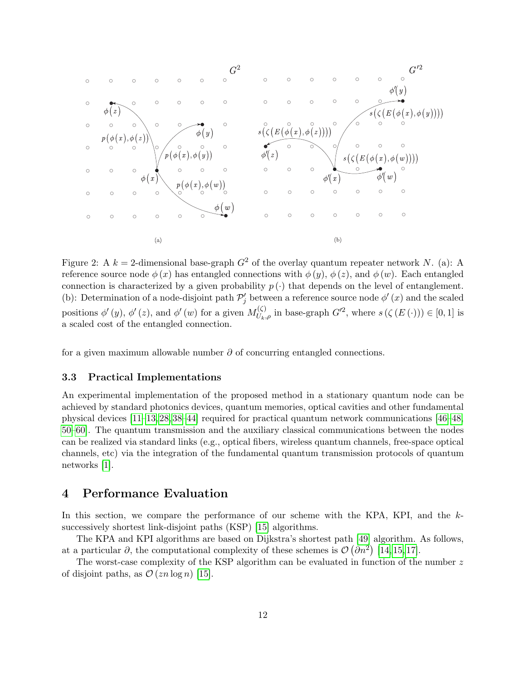

<span id="page-11-1"></span>Figure 2: A  $k = 2$ -dimensional base-graph  $G<sup>2</sup>$  of the overlay quantum repeater network N. (a): A reference source node  $\phi(x)$  has entangled connections with  $\phi(y)$ ,  $\phi(z)$ , and  $\phi(w)$ . Each entangled connection is characterized by a given probability  $p(\cdot)$  that depends on the level of entanglement. (b): Determination of a node-disjoint path  $\mathcal{P}'_j$  between a reference source node  $\phi'(x)$  and the scaled positions  $\phi'(y)$ ,  $\phi'(z)$ , and  $\phi'(w)$  for a given  $M_{U_k,\rho}^{(\zeta)}$  in base-graph  $G'^2$ , where  $s(\zeta(E(\cdot))) \in [0,1]$  is a scaled cost of the entangled connection.

for a given maximum allowable number  $\partial$  of concurring entangled connections.

#### 3.3 Practical Implementations

An experimental implementation of the proposed method in a stationary quantum node can be achieved by standard photonics devices, quantum memories, optical cavities and other fundamental physical devices [\[11](#page-14-9)[–13,](#page-14-0) [28,](#page-15-0) [38](#page-15-2)[–44\]](#page-16-5) required for practical quantum network communications [\[46–](#page-16-6)[48,](#page-16-2) [50](#page-16-3)[–60\]](#page-17-1). The quantum transmission and the auxiliary classical communications between the nodes can be realized via standard links (e.g., optical fibers, wireless quantum channels, free-space optical channels, etc) via the integration of the fundamental quantum transmission protocols of quantum networks [\[1\]](#page-13-0).

### <span id="page-11-0"></span>4 Performance Evaluation

In this section, we compare the performance of our scheme with the KPA, KPI, and the  $k$ successively shortest link-disjoint paths (KSP) [\[15\]](#page-14-5) algorithms.

The KPA and KPI algorithms are based on Dijkstra's shortest path [\[49\]](#page-16-4) algorithm. As follows, at a particular  $\partial$ , the computational complexity of these schemes is  $\mathcal{O}(\partial n^2)$  [\[14,](#page-14-4) [15,](#page-14-5) [17\]](#page-14-6).

The worst-case complexity of the KSP algorithm can be evaluated in function of the number  $z$ of disjoint paths, as  $\mathcal{O}(zn \log n)$  [\[15\]](#page-14-5).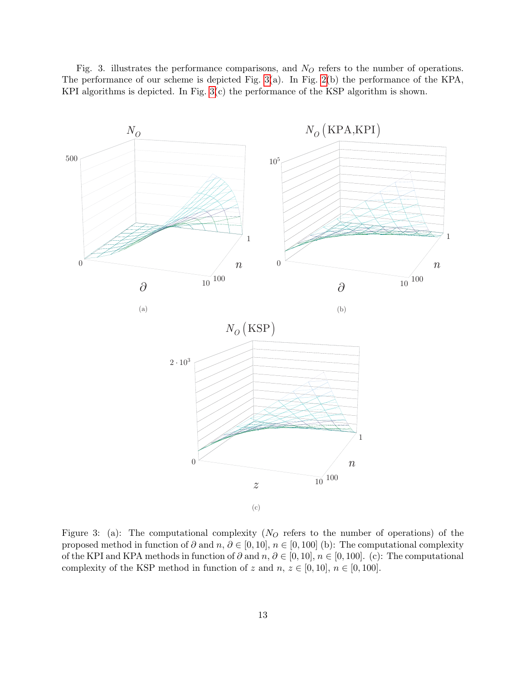Fig. 3. illustrates the performance comparisons, and  $N<sub>O</sub>$  refers to the number of operations. The performance of our scheme is depicted Fig. [3\(](#page-12-0)a). In Fig. [2\(](#page-11-1)b) the performance of the KPA, KPI algorithms is depicted. In Fig. [3\(](#page-12-0)c) the performance of the KSP algorithm is shown.



<span id="page-12-0"></span>Figure 3: (a): The computational complexity  $(N<sub>O</sub>$  refers to the number of operations) of the proposed method in function of ∂ and  $n, \partial \in [0, 10]$ ,  $n \in [0, 100]$  (b): The computational complexity of the KPI and KPA methods in function of  $\partial$  and  $n, \partial \in [0, 10]$ ,  $n \in [0, 100]$ . (c): The computational complexity of the KSP method in function of z and  $n, z \in [0, 10]$ ,  $n \in [0, 100]$ .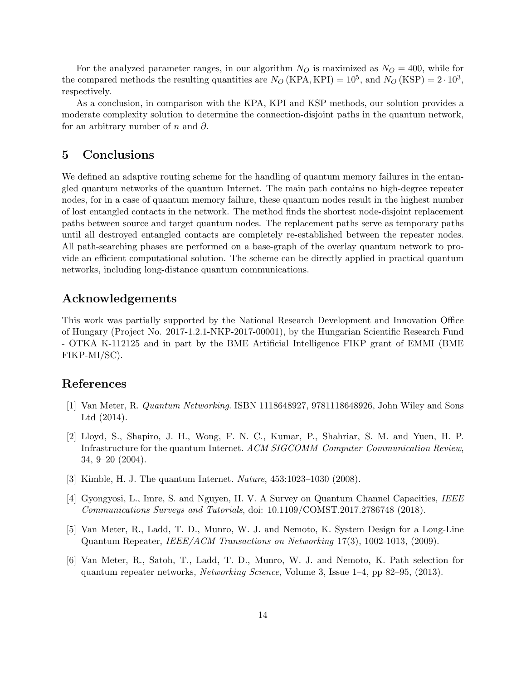For the analyzed parameter ranges, in our algorithm  $N_Q$  is maximized as  $N_Q = 400$ , while for the compared methods the resulting quantities are  $N_Q$  (KPA, KPI) =  $10^5$ , and  $N_Q$  (KSP) =  $2 \cdot 10^3$ , respectively.

As a conclusion, in comparison with the KPA, KPI and KSP methods, our solution provides a moderate complexity solution to determine the connection-disjoint paths in the quantum network, for an arbitrary number of n and  $\partial$ .

### <span id="page-13-4"></span>5 Conclusions

We defined an adaptive routing scheme for the handling of quantum memory failures in the entangled quantum networks of the quantum Internet. The main path contains no high-degree repeater nodes, for in a case of quantum memory failure, these quantum nodes result in the highest number of lost entangled contacts in the network. The method finds the shortest node-disjoint replacement paths between source and target quantum nodes. The replacement paths serve as temporary paths until all destroyed entangled contacts are completely re-established between the repeater nodes. All path-searching phases are performed on a base-graph of the overlay quantum network to provide an efficient computational solution. The scheme can be directly applied in practical quantum networks, including long-distance quantum communications.

### Acknowledgements

This work was partially supported by the National Research Development and Innovation Office of Hungary (Project No. 2017-1.2.1-NKP-2017-00001), by the Hungarian Scientific Research Fund - OTKA K-112125 and in part by the BME Artificial Intelligence FIKP grant of EMMI (BME FIKP-MI/SC).

### References

- <span id="page-13-0"></span>[1] Van Meter, R. Quantum Networking. ISBN 1118648927, 9781118648926, John Wiley and Sons Ltd (2014).
- [2] Lloyd, S., Shapiro, J. H., Wong, F. N. C., Kumar, P., Shahriar, S. M. and Yuen, H. P. Infrastructure for the quantum Internet. ACM SIGCOMM Computer Communication Review, 34, 9–20 (2004).
- <span id="page-13-1"></span>[3] Kimble, H. J. The quantum Internet. Nature, 453:1023–1030 (2008).
- <span id="page-13-2"></span>[4] Gyongyosi, L., Imre, S. and Nguyen, H. V. A Survey on Quantum Channel Capacities, IEEE Communications Surveys and Tutorials, doi: 10.1109/COMST.2017.2786748 (2018).
- <span id="page-13-3"></span>[5] Van Meter, R., Ladd, T. D., Munro, W. J. and Nemoto, K. System Design for a Long-Line Quantum Repeater, IEEE/ACM Transactions on Networking 17(3), 1002-1013, (2009).
- [6] Van Meter, R., Satoh, T., Ladd, T. D., Munro, W. J. and Nemoto, K. Path selection for quantum repeater networks, Networking Science, Volume 3, Issue 1–4, pp 82–95, (2013).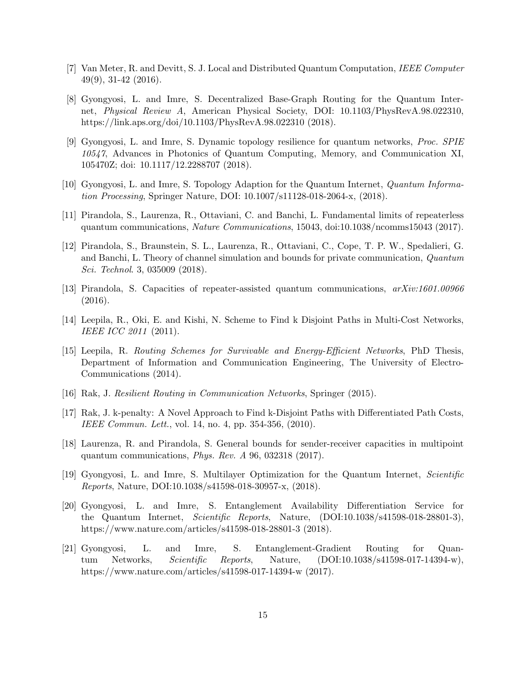- <span id="page-14-7"></span>[7] Van Meter, R. and Devitt, S. J. Local and Distributed Quantum Computation, IEEE Computer 49(9), 31-42 (2016).
- <span id="page-14-2"></span>[8] Gyongyosi, L. and Imre, S. Decentralized Base-Graph Routing for the Quantum Internet, Physical Review A, American Physical Society, DOI: 10.1103/PhysRevA.98.022310, https://link.aps.org/doi/10.1103/PhysRevA.98.022310 (2018).
- [9] Gyongyosi, L. and Imre, S. Dynamic topology resilience for quantum networks, Proc. SPIE 10547, Advances in Photonics of Quantum Computing, Memory, and Communication XI, 105470Z; doi: 10.1117/12.2288707 (2018).
- <span id="page-14-3"></span>[10] Gyongyosi, L. and Imre, S. Topology Adaption for the Quantum Internet, Quantum Information Processing, Springer Nature, DOI: 10.1007/s11128-018-2064-x, (2018).
- <span id="page-14-9"></span>[11] Pirandola, S., Laurenza, R., Ottaviani, C. and Banchi, L. Fundamental limits of repeaterless quantum communications, Nature Communications, 15043, doi:10.1038/ncomms15043 (2017).
- [12] Pirandola, S., Braunstein, S. L., Laurenza, R., Ottaviani, C., Cope, T. P. W., Spedalieri, G. and Banchi, L. Theory of channel simulation and bounds for private communication, Quantum Sci. Technol. 3, 035009 (2018).
- <span id="page-14-0"></span>[13] Pirandola, S. Capacities of repeater-assisted quantum communications, arXiv:1601.00966 (2016).
- <span id="page-14-4"></span>[14] Leepila, R., Oki, E. and Kishi, N. Scheme to Find k Disjoint Paths in Multi-Cost Networks, IEEE ICC 2011 (2011).
- <span id="page-14-5"></span>[15] Leepila, R. Routing Schemes for Survivable and Energy-Efficient Networks, PhD Thesis, Department of Information and Communication Engineering, The University of Electro-Communications (2014).
- <span id="page-14-8"></span>[16] Rak, J. Resilient Routing in Communication Networks, Springer (2015).
- <span id="page-14-6"></span>[17] Rak, J. k-penalty: A Novel Approach to Find k-Disjoint Paths with Differentiated Path Costs, IEEE Commun. Lett., vol. 14, no. 4, pp. 354-356, (2010).
- [18] Laurenza, R. and Pirandola, S. General bounds for sender-receiver capacities in multipoint quantum communications, Phys. Rev. A 96, 032318 (2017).
- <span id="page-14-1"></span>[19] Gyongyosi, L. and Imre, S. Multilayer Optimization for the Quantum Internet, Scientific Reports, Nature, DOI:10.1038/s41598-018-30957-x, (2018).
- [20] Gyongyosi, L. and Imre, S. Entanglement Availability Differentiation Service for the Quantum Internet, Scientific Reports, Nature, (DOI:10.1038/s41598-018-28801-3), https://www.nature.com/articles/s41598-018-28801-3 (2018).
- [21] Gyongyosi, L. and Imre, S. Entanglement-Gradient Routing for Quantum Networks, Scientific Reports, Nature, (DOI:10.1038/s41598-017-14394-w), https://www.nature.com/articles/s41598-017-14394-w (2017).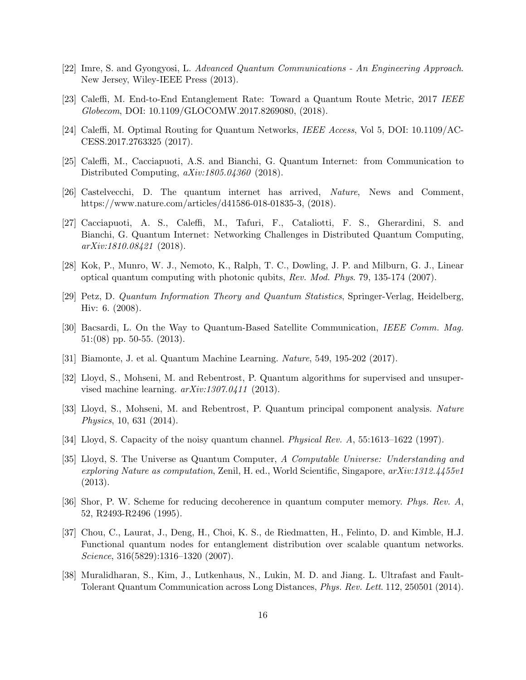- [22] Imre, S. and Gyongyosi, L. Advanced Quantum Communications An Engineering Approach. New Jersey, Wiley-IEEE Press (2013).
- [23] Caleffi, M. End-to-End Entanglement Rate: Toward a Quantum Route Metric, 2017 IEEE Globecom, DOI: 10.1109/GLOCOMW.2017.8269080, (2018).
- [24] Caleffi, M. Optimal Routing for Quantum Networks, IEEE Access, Vol 5, DOI: 10.1109/AC-CESS.2017.2763325 (2017).
- [25] Caleffi, M., Cacciapuoti, A.S. and Bianchi, G. Quantum Internet: from Communication to Distributed Computing,  $aXiv:1805.04360$  (2018).
- [26] Castelvecchi, D. The quantum internet has arrived, Nature, News and Comment, https://www.nature.com/articles/d41586-018-01835-3, (2018).
- [27] Cacciapuoti, A. S., Caleffi, M., Tafuri, F., Cataliotti, F. S., Gherardini, S. and Bianchi, G. Quantum Internet: Networking Challenges in Distributed Quantum Computing, arXiv:1810.08421 (2018).
- <span id="page-15-0"></span>[28] Kok, P., Munro, W. J., Nemoto, K., Ralph, T. C., Dowling, J. P. and Milburn, G. J., Linear optical quantum computing with photonic qubits, Rev. Mod. Phys. 79, 135-174 (2007).
- <span id="page-15-1"></span>[29] Petz, D. Quantum Information Theory and Quantum Statistics, Springer-Verlag, Heidelberg, Hiv: 6. (2008).
- [30] Bacsardi, L. On the Way to Quantum-Based Satellite Communication, IEEE Comm. Mag. 51:(08) pp. 50-55. (2013).
- [31] Biamonte, J. et al. Quantum Machine Learning. Nature, 549, 195-202 (2017).
- [32] Lloyd, S., Mohseni, M. and Rebentrost, P. Quantum algorithms for supervised and unsupervised machine learning. arXiv:1307.0411 (2013).
- [33] Lloyd, S., Mohseni, M. and Rebentrost, P. Quantum principal component analysis. Nature Physics, 10, 631 (2014).
- [34] Lloyd, S. Capacity of the noisy quantum channel. Physical Rev. A, 55:1613–1622 (1997).
- [35] Lloyd, S. The Universe as Quantum Computer, A Computable Universe: Understanding and exploring Nature as computation, Zenil, H. ed., World Scientific, Singapore,  $arXiv:1312.4455v1$ (2013).
- [36] Shor, P. W. Scheme for reducing decoherence in quantum computer memory. Phys. Rev. A, 52, R2493-R2496 (1995).
- [37] Chou, C., Laurat, J., Deng, H., Choi, K. S., de Riedmatten, H., Felinto, D. and Kimble, H.J. Functional quantum nodes for entanglement distribution over scalable quantum networks. Science, 316(5829):1316–1320 (2007).
- <span id="page-15-2"></span>[38] Muralidharan, S., Kim, J., Lutkenhaus, N., Lukin, M. D. and Jiang. L. Ultrafast and Fault-Tolerant Quantum Communication across Long Distances, Phys. Rev. Lett. 112, 250501 (2014).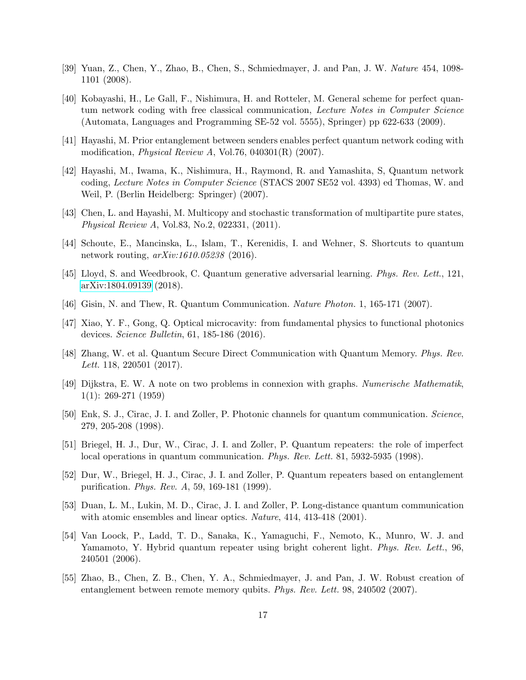- <span id="page-16-0"></span>[39] Yuan, Z., Chen, Y., Zhao, B., Chen, S., Schmiedmayer, J. and Pan, J. W. Nature 454, 1098- 1101 (2008).
- <span id="page-16-1"></span>[40] Kobayashi, H., Le Gall, F., Nishimura, H. and Rotteler, M. General scheme for perfect quantum network coding with free classical communication, Lecture Notes in Computer Science (Automata, Languages and Programming SE-52 vol. 5555), Springer) pp 622-633 (2009).
- [41] Hayashi, M. Prior entanglement between senders enables perfect quantum network coding with modification, *Physical Review A*, Vol.76, 040301 $(R)$  (2007).
- [42] Hayashi, M., Iwama, K., Nishimura, H., Raymond, R. and Yamashita, S, Quantum network coding, Lecture Notes in Computer Science (STACS 2007 SE52 vol. 4393) ed Thomas, W. and Weil, P. (Berlin Heidelberg: Springer) (2007).
- [43] Chen, L. and Hayashi, M. Multicopy and stochastic transformation of multipartite pure states, Physical Review A, Vol.83, No.2, 022331, (2011).
- <span id="page-16-5"></span>[44] Schoute, E., Mancinska, L., Islam, T., Kerenidis, I. and Wehner, S. Shortcuts to quantum network routing, arXiv:1610.05238 (2016).
- [45] Lloyd, S. and Weedbrook, C. Quantum generative adversarial learning. Phys. Rev. Lett., 121, [arXiv:1804.09139](http://arxiv.org/abs/1804.09139) (2018).
- <span id="page-16-6"></span>[46] Gisin, N. and Thew, R. Quantum Communication. Nature Photon. 1, 165-171 (2007).
- [47] Xiao, Y. F., Gong, Q. Optical microcavity: from fundamental physics to functional photonics devices. Science Bulletin, 61, 185-186 (2016).
- <span id="page-16-2"></span>[48] Zhang, W. et al. Quantum Secure Direct Communication with Quantum Memory. Phys. Rev. Lett. 118, 220501 (2017).
- <span id="page-16-4"></span>[49] Dijkstra, E. W. A note on two problems in connexion with graphs. Numerische Mathematik, 1(1): 269-271 (1959)
- <span id="page-16-3"></span>[50] Enk, S. J., Cirac, J. I. and Zoller, P. Photonic channels for quantum communication. Science, 279, 205-208 (1998).
- [51] Briegel, H. J., Dur, W., Cirac, J. I. and Zoller, P. Quantum repeaters: the role of imperfect local operations in quantum communication. *Phys. Rev. Lett.* 81, 5932-5935 (1998).
- [52] Dur, W., Briegel, H. J., Cirac, J. I. and Zoller, P. Quantum repeaters based on entanglement purification. Phys. Rev. A, 59, 169-181 (1999).
- [53] Duan, L. M., Lukin, M. D., Cirac, J. I. and Zoller, P. Long-distance quantum communication with atomic ensembles and linear optics. *Nature*, 414, 413-418 (2001).
- [54] Van Loock, P., Ladd, T. D., Sanaka, K., Yamaguchi, F., Nemoto, K., Munro, W. J. and Yamamoto, Y. Hybrid quantum repeater using bright coherent light. Phys. Rev. Lett., 96, 240501 (2006).
- [55] Zhao, B., Chen, Z. B., Chen, Y. A., Schmiedmayer, J. and Pan, J. W. Robust creation of entanglement between remote memory qubits. Phys. Rev. Lett. 98, 240502 (2007).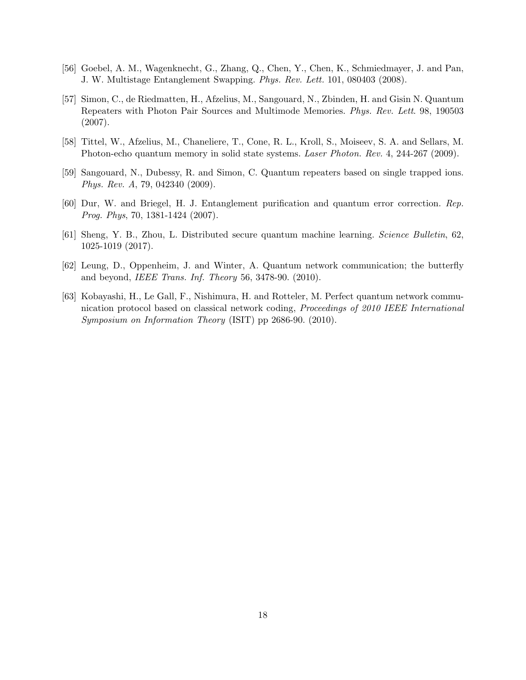- [56] Goebel, A. M., Wagenknecht, G., Zhang, Q., Chen, Y., Chen, K., Schmiedmayer, J. and Pan, J. W. Multistage Entanglement Swapping. Phys. Rev. Lett. 101, 080403 (2008).
- [57] Simon, C., de Riedmatten, H., Afzelius, M., Sangouard, N., Zbinden, H. and Gisin N. Quantum Repeaters with Photon Pair Sources and Multimode Memories. Phys. Rev. Lett. 98, 190503 (2007).
- [58] Tittel, W., Afzelius, M., Chaneliere, T., Cone, R. L., Kroll, S., Moiseev, S. A. and Sellars, M. Photon-echo quantum memory in solid state systems. Laser Photon. Rev. 4, 244-267 (2009).
- [59] Sangouard, N., Dubessy, R. and Simon, C. Quantum repeaters based on single trapped ions. Phys. Rev. A, 79, 042340 (2009).
- <span id="page-17-1"></span>[60] Dur, W. and Briegel, H. J. Entanglement purification and quantum error correction. Rep. Prog. Phys, 70, 1381-1424 (2007).
- [61] Sheng, Y. B., Zhou, L. Distributed secure quantum machine learning. Science Bulletin, 62, 1025-1019 (2017).
- [62] Leung, D., Oppenheim, J. and Winter, A. Quantum network communication; the butterfly and beyond, IEEE Trans. Inf. Theory 56, 3478-90. (2010).
- <span id="page-17-0"></span>[63] Kobayashi, H., Le Gall, F., Nishimura, H. and Rotteler, M. Perfect quantum network communication protocol based on classical network coding, Proceedings of 2010 IEEE International Symposium on Information Theory (ISIT) pp 2686-90. (2010).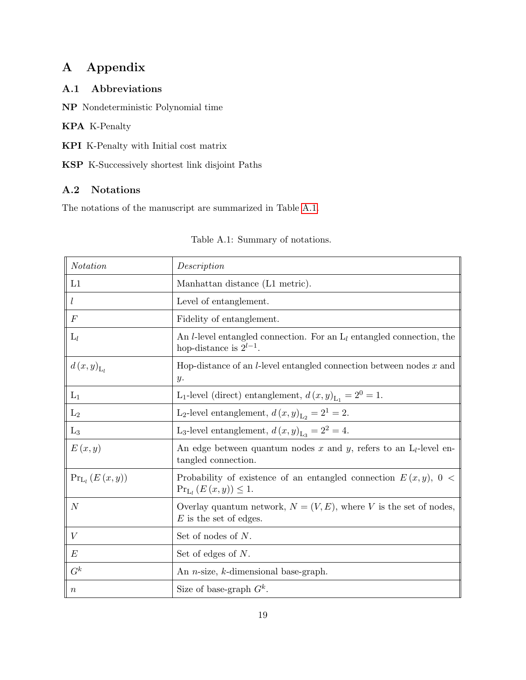## A Appendix

### A.1 Abbreviations

NP Nondeterministic Polynomial time

### KPA K-Penalty

KPI K-Penalty with Initial cost matrix

KSP K-Successively shortest link disjoint Paths

### A.2 Notations

The notations of the manuscript are summarized in Table [A.1.](#page-18-0)

<span id="page-18-0"></span>

| <i>Notation</i>    | Description                                                                                                    |
|--------------------|----------------------------------------------------------------------------------------------------------------|
| L1                 | Manhattan distance (L1 metric).                                                                                |
| l                  | Level of entanglement.                                                                                         |
| $\,F$              | Fidelity of entanglement.                                                                                      |
| $L_l$              | An <i>l</i> -level entangled connection. For an $L_l$ entangled connection, the<br>hop-distance is $2^{l-1}$ . |
| $d(x,y)_{L_l}$     | Hop-distance of an $l$ -level entangled connection between nodes x and<br>y.                                   |
| $L_1$              | L <sub>1</sub> -level (direct) entanglement, $d(x, y)$ <sub>L<sub>1</sub></sub> = $2^0$ = 1.                   |
| L <sub>2</sub>     | L <sub>2</sub> -level entanglement, $d(x, y)_{L_2} = 2^1 = 2$ .                                                |
| $L_3$              | L <sub>3</sub> -level entanglement, $d(x, y)_{L_3} = 2^2 = 4$ .                                                |
| E(x,y)             | An edge between quantum nodes x and y, refers to an $L_l$ -level en-<br>tangled connection.                    |
| $Pr_{L_l}(E(x,y))$ | Probability of existence of an entangled connection $E(x, y)$ , $0 <$<br>$Pr_{L_l}(E(x,y)) \leq 1.$            |
| $\boldsymbol{N}$   | Overlay quantum network, $N = (V, E)$ , where V is the set of nodes,<br>$E$ is the set of edges.               |
| V                  | Set of nodes of $N$ .                                                                                          |
| E                  | Set of edges of $N$ .                                                                                          |
| $G^k$              | An $n$ -size, $k$ -dimensional base-graph.                                                                     |
| $\boldsymbol{n}$   | Size of base-graph $G^k$ .                                                                                     |

### Table A.1: Summary of notations.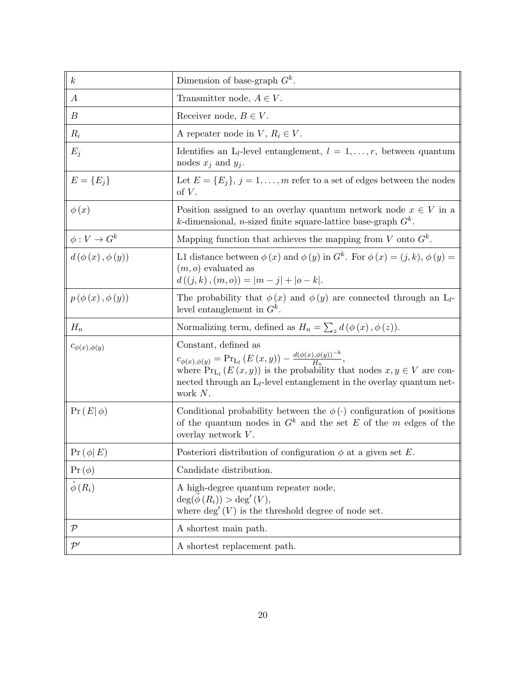| $\boldsymbol{k}$         | Dimension of base-graph $G^k$ .                                                                                                                                                                                                                                                         |
|--------------------------|-----------------------------------------------------------------------------------------------------------------------------------------------------------------------------------------------------------------------------------------------------------------------------------------|
| $\boldsymbol{A}$         | Transmitter node, $A \in V$ .                                                                                                                                                                                                                                                           |
| В                        | Receiver node, $B \in V$ .                                                                                                                                                                                                                                                              |
| $R_i$                    | A repeater node in $V, R_i \in V$ .                                                                                                                                                                                                                                                     |
| $E_i$                    | Identifies an L <sub>l</sub> -level entanglement, $l = 1, , r$ , between quantum<br>nodes $x_i$ and $y_i$ .                                                                                                                                                                             |
| $E = \{E_i\}$            | Let $E = \{E_j\}, j = 1, , m$ refer to a set of edges between the nodes<br>of $V$ .                                                                                                                                                                                                     |
| $\phi(x)$                | Position assigned to an overlay quantum network node $x \in V$ in a<br>k-dimensional, <i>n</i> -sized finite square-lattice base-graph $G^k$ .                                                                                                                                          |
| $\phi: V \to G^k$        | Mapping function that achieves the mapping from $V$ onto $G^k$ .                                                                                                                                                                                                                        |
| $d(\phi(x), \phi(y))$    | L1 distance between $\phi(x)$ and $\phi(y)$ in $G^k$ . For $\phi(x) = (j, k), \phi(y) =$<br>$(m, o)$ evaluated as<br>$d((j,k),(m,o)) =  m-j  +  o-k .$                                                                                                                                  |
| $p(\phi(x), \phi(y))$    | The probability that $\phi(x)$ and $\phi(y)$ are connected through an L <sub>l</sub> -<br>level entanglement in $G^k$ .                                                                                                                                                                 |
| $H_n$                    | Normalizing term, defined as $H_n = \sum_z d(\phi(x), \phi(z)).$                                                                                                                                                                                                                        |
| $c_{\phi(x),\phi(y)}$    | Constant, defined as<br>$c_{\phi(x),\phi(y)} = \Pr_{L_l}(E(x,y)) - \frac{d(\phi(x),\phi(y))^{-\kappa}}{H_n},$<br>where $Pr_{L_l}(E(x, y))$ is the probability that nodes $x, y \in V$ are con-<br>nected through an $L_l$ -level entanglement in the overlay quantum net-<br>work $N$ . |
| $\Pr(E \phi)$            | Conditional probability between the $\phi(\cdot)$ configuration of positions<br>of the quantum nodes in $G^k$ and the set E of the m edges of the<br>overlay network $V$ .                                                                                                              |
| $\Pr\left(\phi E\right)$ | Posteriori distribution of configuration $\phi$ at a given set E.                                                                                                                                                                                                                       |
| $\Pr(\phi)$              | Candidate distribution.                                                                                                                                                                                                                                                                 |
| $\phi(R_i)$              | A high-degree quantum repeater node,<br>$deg(\phi(R_i)) > deg'(V),$<br>where $\deg'(V)$ is the threshold degree of node set.                                                                                                                                                            |
| $\mathcal{P}$            | A shortest main path.                                                                                                                                                                                                                                                                   |
| $\mathcal{P}'$           | A shortest replacement path.                                                                                                                                                                                                                                                            |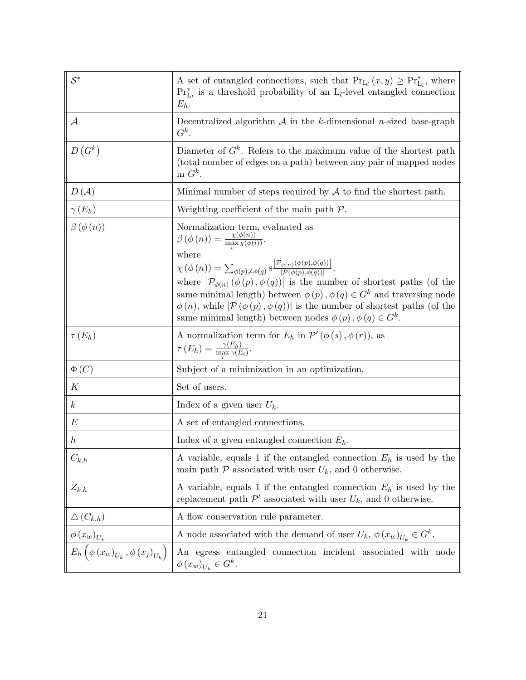| $\mathcal{S}^*$                                                                                                          | A set of entangled connections, such that $Pr_{L_l}(x, y) \geq Pr_{L_l}^*$ , where<br>$\Pr_{L_l}^*$ is a threshold probability of an $L_l$ -level entangled connection<br>$E_h$ .                                                                                                                                                                                                                                                                                                                                                                                                                                                        |
|--------------------------------------------------------------------------------------------------------------------------|------------------------------------------------------------------------------------------------------------------------------------------------------------------------------------------------------------------------------------------------------------------------------------------------------------------------------------------------------------------------------------------------------------------------------------------------------------------------------------------------------------------------------------------------------------------------------------------------------------------------------------------|
| $\mathcal{A}$                                                                                                            | Decentralized algorithm $A$ in the k-dimensional <i>n</i> -sized base-graph<br>$G^k$ .                                                                                                                                                                                                                                                                                                                                                                                                                                                                                                                                                   |
| $D(G^k)$                                                                                                                 | Diameter of $G^k$ . Refers to the maximum value of the shortest path<br>(total number of edges on a path) between any pair of mapped nodes<br>in $G^k$ .                                                                                                                                                                                                                                                                                                                                                                                                                                                                                 |
| $D(\mathcal{A})$                                                                                                         | Minimal number of steps required by $A$ to find the shortest path.                                                                                                                                                                                                                                                                                                                                                                                                                                                                                                                                                                       |
| $\gamma(E_h)$                                                                                                            | Weighting coefficient of the main path $P$ .                                                                                                                                                                                                                                                                                                                                                                                                                                                                                                                                                                                             |
| $\beta\left(\phi\left(n\right)\right)$                                                                                   | Normalization term, evaluated as<br>$\beta(\phi(n)) = \frac{\chi(\phi(n))'}{\max \chi(\phi(i))},$<br>where<br>$\chi(\phi(n)) = \sum_{\phi(p)\neq \phi(q)} s \frac{ \mathcal{P}_{\phi(n)}(\phi(p), \phi(q)) }{ \mathcal{P}(\phi(p), \phi(q)) },$<br>where $\left \mathcal{P}_{\phi(n)}\left(\phi(p),\phi(q)\right)\right $ is the number of shortest paths (of the<br>same minimal length) between $\phi\left(p\right),\phi\left(q\right)\in G^{k}$ and traversing node<br>$\phi(n)$ , while $ \mathcal{P}(\phi(p), \phi(q)) $ is the number of shortest paths (of the<br>same minimal length) between nodes $\phi(p), \phi(q) \in G^k$ . |
| $\tau(E_h)$                                                                                                              | A normalization term for $E_h$ in $\mathcal{P}'(\phi(s), \phi(r))$ , as<br>$\tau(E_h) = \frac{\gamma(E_h)}{\max \gamma(E_i)}.$                                                                                                                                                                                                                                                                                                                                                                                                                                                                                                           |
| $\Phi(C)$                                                                                                                | Subject of a minimization in an optimization.                                                                                                                                                                                                                                                                                                                                                                                                                                                                                                                                                                                            |
| K                                                                                                                        | Set of users.                                                                                                                                                                                                                                                                                                                                                                                                                                                                                                                                                                                                                            |
| $\boldsymbol{k}$                                                                                                         | Index of a given user $U_k$ .                                                                                                                                                                                                                                                                                                                                                                                                                                                                                                                                                                                                            |
| $E\,$                                                                                                                    | A set of entangled connections.                                                                                                                                                                                                                                                                                                                                                                                                                                                                                                                                                                                                          |
| $\boldsymbol{h}$                                                                                                         | Index of a given entangled connection $E_h$ .                                                                                                                                                                                                                                                                                                                                                                                                                                                                                                                                                                                            |
| $C_{k,h}$                                                                                                                | A variable, equals 1 if the entangled connection $E_h$ is used by the<br>main path $P$ associated with user $U_k$ , and 0 otherwise.                                                                                                                                                                                                                                                                                                                                                                                                                                                                                                     |
| $Z_{k,h}$                                                                                                                | A variable, equals 1 if the entangled connection $E_h$ is used by the<br>replacement path $\mathcal{P}'$ associated with user $U_k$ , and 0 otherwise.                                                                                                                                                                                                                                                                                                                                                                                                                                                                                   |
| $\triangle(C_{k,h})$                                                                                                     | A flow conservation rule parameter.                                                                                                                                                                                                                                                                                                                                                                                                                                                                                                                                                                                                      |
|                                                                                                                          | A node associated with the demand of user $U_k$ , $\phi(x_w)_{U_k} \in G^k$ .                                                                                                                                                                                                                                                                                                                                                                                                                                                                                                                                                            |
| $\frac{\phi\left(x_{w}\right)_{U_{k}}}{E_{h}\left(\phi\left(x_{w}\right)_{U_{k}},\phi\left(x_{j}\right)_{U_{k}}\right)}$ | An egress entangled connection incident associated with node<br>$\phi(x_w)_{U_k} \in G^k$ .                                                                                                                                                                                                                                                                                                                                                                                                                                                                                                                                              |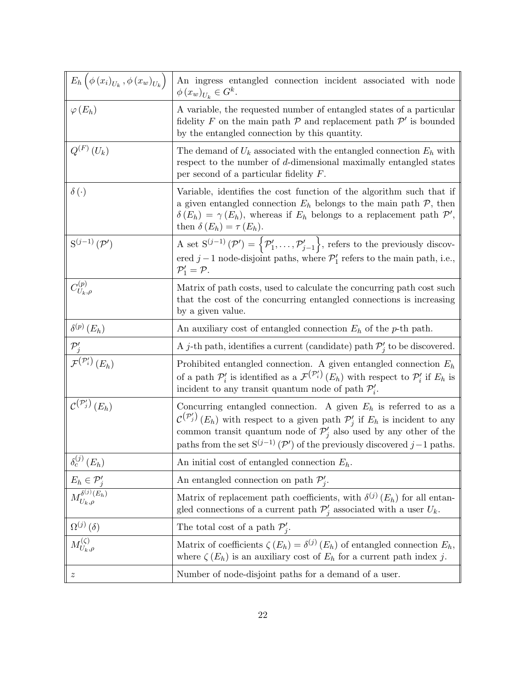| $E_h\left(\phi\left(x_i\right)_{U_k},\phi\left(x_w\right)_{U_k}\right)$            | An ingress entangled connection incident associated with node<br>$\phi(x_w)_{U_k} \in G^k$ .                                                                                                                                                                                                                                                                     |
|------------------------------------------------------------------------------------|------------------------------------------------------------------------------------------------------------------------------------------------------------------------------------------------------------------------------------------------------------------------------------------------------------------------------------------------------------------|
| $\varphi(E_h)$                                                                     | A variable, the requested number of entangled states of a particular<br>fidelity F on the main path P and replacement path $\mathcal{P}'$ is bounded<br>by the entangled connection by this quantity.                                                                                                                                                            |
| $Q^{(F)}(U_k)$                                                                     | The demand of $U_k$ associated with the entangled connection $E_h$ with<br>respect to the number of d-dimensional maximally entangled states<br>per second of a particular fidelity $F$ .                                                                                                                                                                        |
| $\delta(\cdot)$                                                                    | Variable, identifies the cost function of the algorithm such that if<br>a given entangled connection $E_h$ belongs to the main path $P$ , then<br>$\delta(E_h) = \gamma(E_h)$ , whereas if $E_h$ belongs to a replacement path $\mathcal{P}'$ ,<br>then $\delta(E_h) = \tau(E_h)$ .                                                                              |
| $S^{(j-1)}(\mathcal{P}')$                                                          | A set $S^{(j-1)}(\mathcal{P}') = \left\{ \mathcal{P}'_1, \ldots, \mathcal{P}'_{j-1} \right\}$ , refers to the previously discov-<br>ered $j-1$ node-disjoint paths, where $\mathcal{P}'_1$ refers to the main path, i.e.,<br>$\mathcal{P}_1'=\mathcal{P}.$                                                                                                       |
| $C^{(p)}_{U_k, \rho}$                                                              | Matrix of path costs, used to calculate the concurring path cost such<br>that the cost of the concurring entangled connections is increasing<br>by a given value.                                                                                                                                                                                                |
| $\delta^{(p)}(E_h)$                                                                | An auxiliary cost of entangled connection $E_h$ of the p-th path.                                                                                                                                                                                                                                                                                                |
|                                                                                    | A j-th path, identifies a current (candidate) path $\mathcal{P}'_i$ to be discovered.                                                                                                                                                                                                                                                                            |
| $\overline{\mathcal{F}^{\left(\mathcal{P}_{i}^{\prime}\right)}\left(E_{h}\right)}$ | Prohibited entangled connection. A given entangled connection $E_h$<br>of a path $\mathcal{P}'_i$ is identified as a $\mathcal{F}^{(\mathcal{P}'_i)}(E_h)$ with respect to $\mathcal{P}'_i$ if $E_h$ is<br>incident to any transit quantum node of path $P_i'$ .                                                                                                 |
| $\mathcal{C}^{\left(\mathcal{P}'_j\right)}\left(E_h\right)$                        | Concurring entangled connection. A given $E_h$ is referred to as a<br>$\mathcal{C}^{(\mathcal{P}'_j)}(E_h)$ with respect to a given path $\mathcal{P}'_j$ if $E_h$ is incident to any<br>common transit quantum node of $\mathcal{P}'_i$ also used by any other of the<br>paths from the set $S^{(j-1)}(\mathcal{P}')$ of the previously discovered $j-1$ paths. |
| $\delta_c^{(j)}\left(E_h\right)$                                                   | An initial cost of entangled connection $E_h$ .                                                                                                                                                                                                                                                                                                                  |
|                                                                                    | An entangled connection on path $\mathcal{P}'_i$ .                                                                                                                                                                                                                                                                                                               |
| $\frac{E_h \in \mathcal{P}'_j}{M_{U_k, \rho}^{\delta^{(j)}(E_h)}}$                 | Matrix of replacement path coefficients, with $\delta^{(j)}(E_h)$ for all entan-<br>gled connections of a current path $\mathcal{P}'_i$ associated with a user $U_k$ .                                                                                                                                                                                           |
| $\Omega^{(j)}(\delta)$                                                             | The total cost of a path $\mathcal{P}'_i$ .                                                                                                                                                                                                                                                                                                                      |
| $M_{U_k, \rho}^{(\zeta)}$                                                          | Matrix of coefficients $\zeta(E_h) = \delta^{(j)}(E_h)$ of entangled connection $E_h$ ,<br>where $\zeta(E_h)$ is an auxiliary cost of $E_h$ for a current path index j.                                                                                                                                                                                          |
| $\boldsymbol{z}$                                                                   | Number of node-disjoint paths for a demand of a user.                                                                                                                                                                                                                                                                                                            |